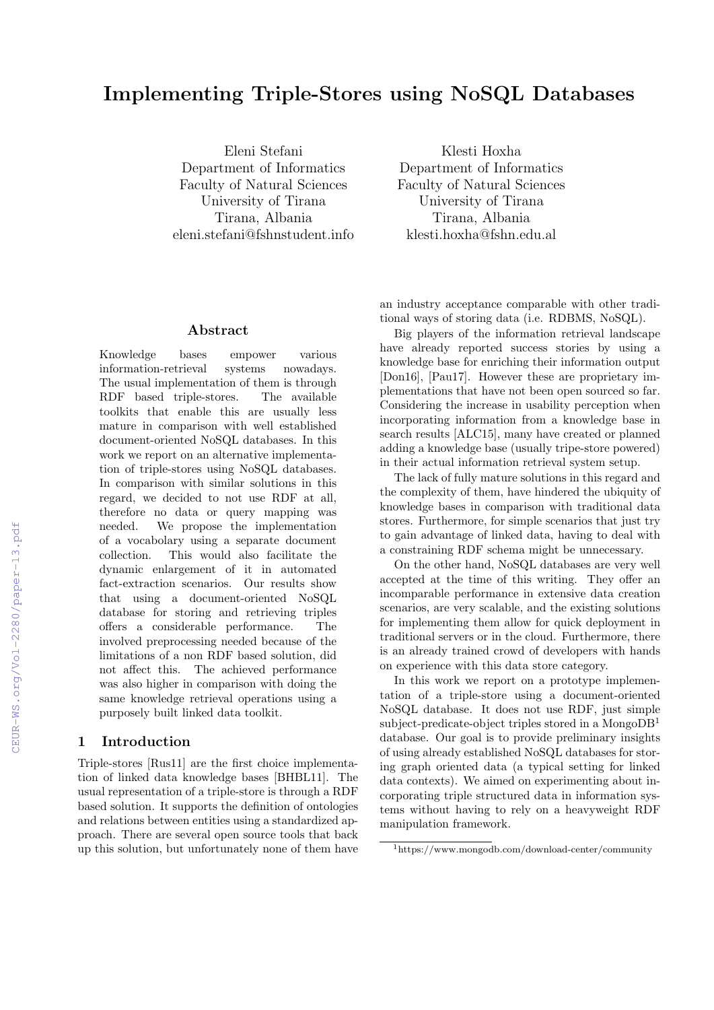# Implementing Triple-Stores using NoSQL Databases

Eleni Stefani Department of Informatics Faculty of Natural Sciences University of Tirana Tirana, Albania eleni.stefani@fshnstudent.info

Abstract

Knowledge bases empower various information-retrieval systems nowadays. The usual implementation of them is through RDF based triple-stores. The available toolkits that enable this are usually less mature in comparison with well established document-oriented NoSQL databases. In this work we report on an alternative implementation of triple-stores using NoSQL databases. In comparison with similar solutions in this regard, we decided to not use RDF at all, therefore no data or query mapping was needed. We propose the implementation of a vocabolary using a separate document collection. This would also facilitate the dynamic enlargement of it in automated fact-extraction scenarios. Our results show that using a document-oriented NoSQL database for storing and retrieving triples offers a considerable performance. The involved preprocessing needed because of the limitations of a non RDF based solution, did not affect this. The achieved performance was also higher in comparison with doing the same knowledge retrieval operations using a purposely built linked data toolkit.

# 1 Introduction

Triple-stores [Rus11] are the first choice implementation of linked data knowledge bases [BHBL11]. The usual representation of a triple-store is through a RDF based solution. It supports the definition of ontologies and relations between entities using a standardized approach. There are several open source tools that back up this solution, but unfortunately none of them have

Klesti Hoxha Department of Informatics Faculty of Natural Sciences University of Tirana Tirana, Albania klesti.hoxha@fshn.edu.al

an industry acceptance comparable with other traditional ways of storing data (i.e. RDBMS, NoSQL).

Big players of the information retrieval landscape have already reported success stories by using a knowledge base for enriching their information output [Don16], [Pau17]. However these are proprietary implementations that have not been open sourced so far. Considering the increase in usability perception when incorporating information from a knowledge base in search results [ALC15], many have created or planned adding a knowledge base (usually tripe-store powered) in their actual information retrieval system setup.

The lack of fully mature solutions in this regard and the complexity of them, have hindered the ubiquity of knowledge bases in comparison with traditional data stores. Furthermore, for simple scenarios that just try to gain advantage of linked data, having to deal with a constraining RDF schema might be unnecessary.

On the other hand, NoSQL databases are very well accepted at the time of this writing. They offer an incomparable performance in extensive data creation scenarios, are very scalable, and the existing solutions for implementing them allow for quick deployment in traditional servers or in the cloud. Furthermore, there is an already trained crowd of developers with hands on experience with this data store category.

In this work we report on a prototype implementation of a triple-store using a document-oriented NoSQL database. It does not use RDF, just simple subject-predicate-object triples stored in a Mongo $DB<sup>1</sup>$ database. Our goal is to provide preliminary insights of using already established NoSQL databases for storing graph oriented data (a typical setting for linked data contexts). We aimed on experimenting about incorporating triple structured data in information systems without having to rely on a heavyweight RDF manipulation framework.

<sup>1</sup>https://www.mongodb.com/download-center/community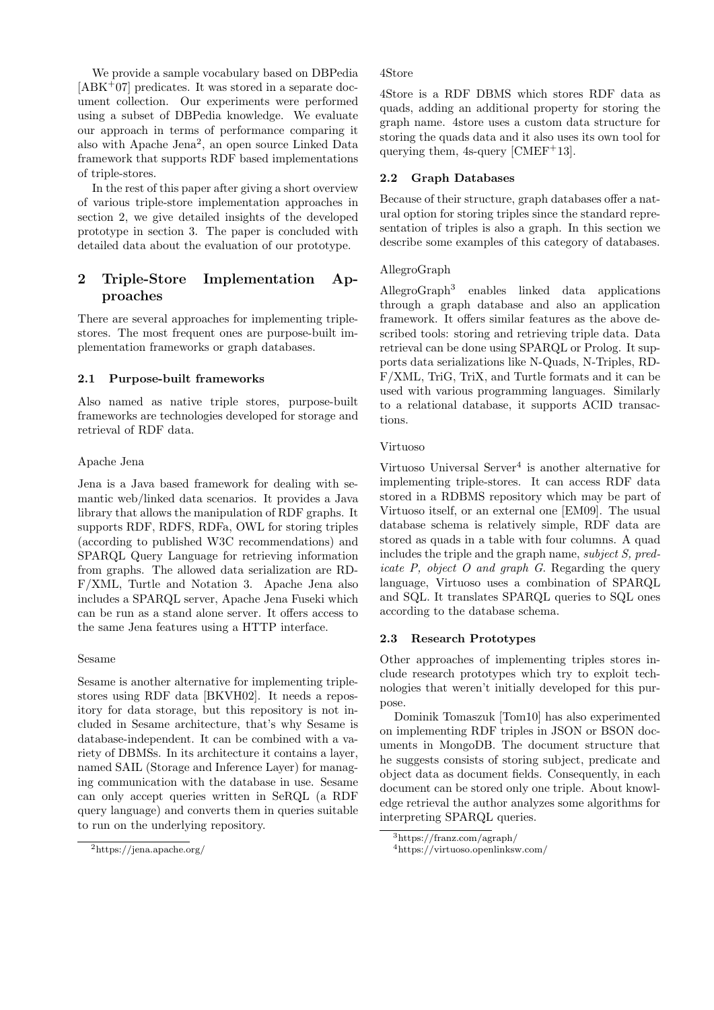We provide a sample vocabulary based on DBPedia  $[ABK^+07]$  predicates. It was stored in a separate document collection. Our experiments were performed using a subset of DBPedia knowledge. We evaluate our approach in terms of performance comparing it also with Apache Jena<sup>2</sup> , an open source Linked Data framework that supports RDF based implementations of triple-stores.

In the rest of this paper after giving a short overview of various triple-store implementation approaches in section 2, we give detailed insights of the developed prototype in section 3. The paper is concluded with detailed data about the evaluation of our prototype.

# 2 Triple-Store Implementation Approaches

There are several approaches for implementing triplestores. The most frequent ones are purpose-built implementation frameworks or graph databases.

## 2.1 Purpose-built frameworks

Also named as native triple stores, purpose-built frameworks are technologies developed for storage and retrieval of RDF data.

#### Apache Jena

Jena is a Java based framework for dealing with semantic web/linked data scenarios. It provides a Java library that allows the manipulation of RDF graphs. It supports RDF, RDFS, RDFa, OWL for storing triples (according to published W3C recommendations) and SPARQL Query Language for retrieving information from graphs. The allowed data serialization are RD-F/XML, Turtle and Notation 3. Apache Jena also includes a SPARQL server, Apache Jena Fuseki which can be run as a stand alone server. It offers access to the same Jena features using a HTTP interface.

#### Sesame

Sesame is another alternative for implementing triplestores using RDF data [BKVH02]. It needs a repository for data storage, but this repository is not included in Sesame architecture, that's why Sesame is database-independent. It can be combined with a variety of DBMSs. In its architecture it contains a layer, named SAIL (Storage and Inference Layer) for managing communication with the database in use. Sesame can only accept queries written in SeRQL (a RDF query language) and converts them in queries suitable to run on the underlying repository.

#### 4Store

4Store is a RDF DBMS which stores RDF data as quads, adding an additional property for storing the graph name. 4store uses a custom data structure for storing the quads data and it also uses its own tool for querying them,  $4s$ -query [CMEF<sup>+</sup>13].

# 2.2 Graph Databases

Because of their structure, graph databases offer a natural option for storing triples since the standard representation of triples is also a graph. In this section we describe some examples of this category of databases.

# AllegroGraph

AllegroGraph<sup>3</sup> enables linked data applications through a graph database and also an application framework. It offers similar features as the above described tools: storing and retrieving triple data. Data retrieval can be done using SPARQL or Prolog. It supports data serializations like N-Quads, N-Triples, RD-F/XML, TriG, TriX, and Turtle formats and it can be used with various programming languages. Similarly to a relational database, it supports ACID transactions.

## Virtuoso

Virtuoso Universal Server<sup>4</sup> is another alternative for implementing triple-stores. It can access RDF data stored in a RDBMS repository which may be part of Virtuoso itself, or an external one [EM09]. The usual database schema is relatively simple, RDF data are stored as quads in a table with four columns. A quad includes the triple and the graph name, subject S, predicate P, object O and graph G. Regarding the query language, Virtuoso uses a combination of SPARQL and SQL. It translates SPARQL queries to SQL ones according to the database schema.

## 2.3 Research Prototypes

Other approaches of implementing triples stores include research prototypes which try to exploit technologies that weren't initially developed for this purpose.

Dominik Tomaszuk [Tom10] has also experimented on implementing RDF triples in JSON or BSON documents in MongoDB. The document structure that he suggests consists of storing subject, predicate and object data as document fields. Consequently, in each document can be stored only one triple. About knowledge retrieval the author analyzes some algorithms for interpreting SPARQL queries.

<sup>2</sup>https://jena.apache.org/

<sup>3</sup>https://franz.com/agraph/

<sup>4</sup>https://virtuoso.openlinksw.com/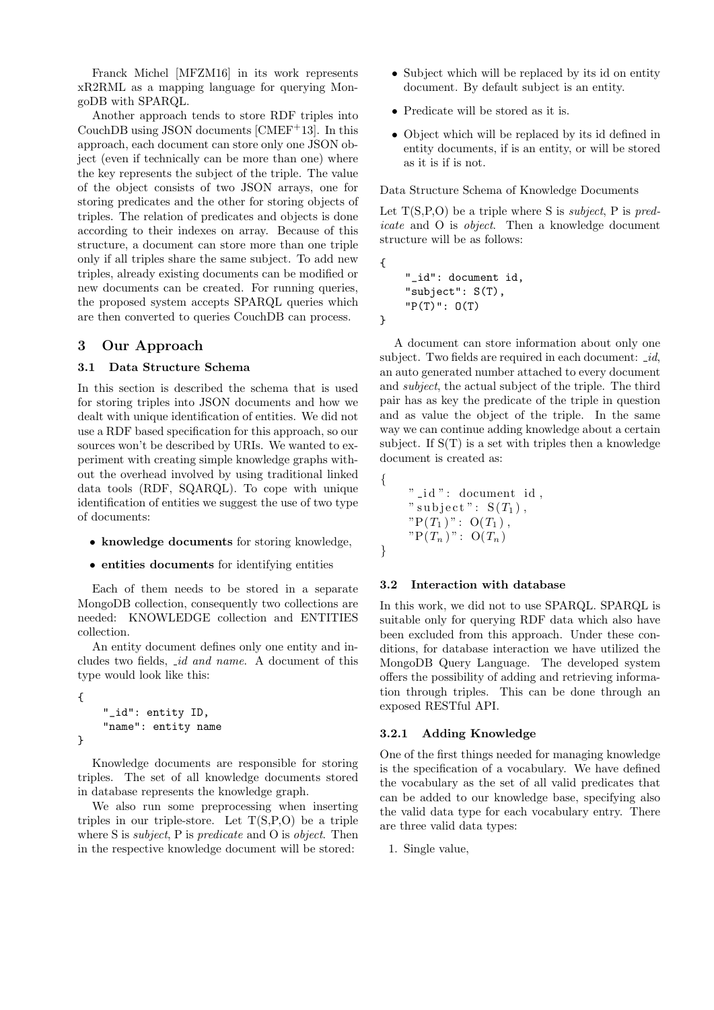Franck Michel [MFZM16] in its work represents xR2RML as a mapping language for querying MongoDB with SPARQL.

Another approach tends to store RDF triples into CouchDB using JSON documents [CMEF+13]. In this approach, each document can store only one JSON object (even if technically can be more than one) where the key represents the subject of the triple. The value of the object consists of two JSON arrays, one for storing predicates and the other for storing objects of triples. The relation of predicates and objects is done according to their indexes on array. Because of this structure, a document can store more than one triple only if all triples share the same subject. To add new triples, already existing documents can be modified or new documents can be created. For running queries, the proposed system accepts SPARQL queries which are then converted to queries CouchDB can process.

## 3 Our Approach

#### 3.1 Data Structure Schema

In this section is described the schema that is used for storing triples into JSON documents and how we dealt with unique identification of entities. We did not use a RDF based specification for this approach, so our sources won't be described by URIs. We wanted to experiment with creating simple knowledge graphs without the overhead involved by using traditional linked data tools (RDF, SQARQL). To cope with unique identification of entities we suggest the use of two type of documents:

- knowledge documents for storing knowledge,
- entities documents for identifying entities

Each of them needs to be stored in a separate MongoDB collection, consequently two collections are needed: KNOWLEDGE collection and ENTITIES collection.

An entity document defines only one entity and includes two fields, id and name. A document of this type would look like this:

```
{
    "_id": entity ID,
    "name": entity name
}
```
Knowledge documents are responsible for storing triples. The set of all knowledge documents stored in database represents the knowledge graph.

We also run some preprocessing when inserting triples in our triple-store. Let  $T(S, P, O)$  be a triple where S is *subject*, P is *predicate* and O is *object*. Then in the respective knowledge document will be stored:

- Subject which will be replaced by its id on entity document. By default subject is an entity.
- Predicate will be stored as it is.
- Object which will be replaced by its id defined in entity documents, if is an entity, or will be stored as it is if is not.

Data Structure Schema of Knowledge Documents

Let  $T(S, P, O)$  be a triple where S is *subject*, P is predicate and O is object. Then a knowledge document structure will be as follows:

```
"_id": document id,
"subject": S(T),
"P(T)": O(T)
```
{

}

{

}

A document can store information about only one subject. Two fields are required in each document:  $id$ , an auto generated number attached to every document and subject, the actual subject of the triple. The third pair has as key the predicate of the triple in question and as value the object of the triple. In the same way we can continue adding knowledge about a certain subject. If  $S(T)$  is a set with triples then a knowledge document is created as:

" \_id ": document id, " subject":  $S(T_1)$ ,  $"P(T_1)": O(T_1),$  $"P(T_n)": O(T_n)$ 

#### 3.2 Interaction with database

In this work, we did not to use SPARQL. SPARQL is suitable only for querying RDF data which also have been excluded from this approach. Under these conditions, for database interaction we have utilized the MongoDB Query Language. The developed system offers the possibility of adding and retrieving information through triples. This can be done through an exposed RESTful API.

#### 3.2.1 Adding Knowledge

One of the first things needed for managing knowledge is the specification of a vocabulary. We have defined the vocabulary as the set of all valid predicates that can be added to our knowledge base, specifying also the valid data type for each vocabulary entry. There are three valid data types:

1. Single value,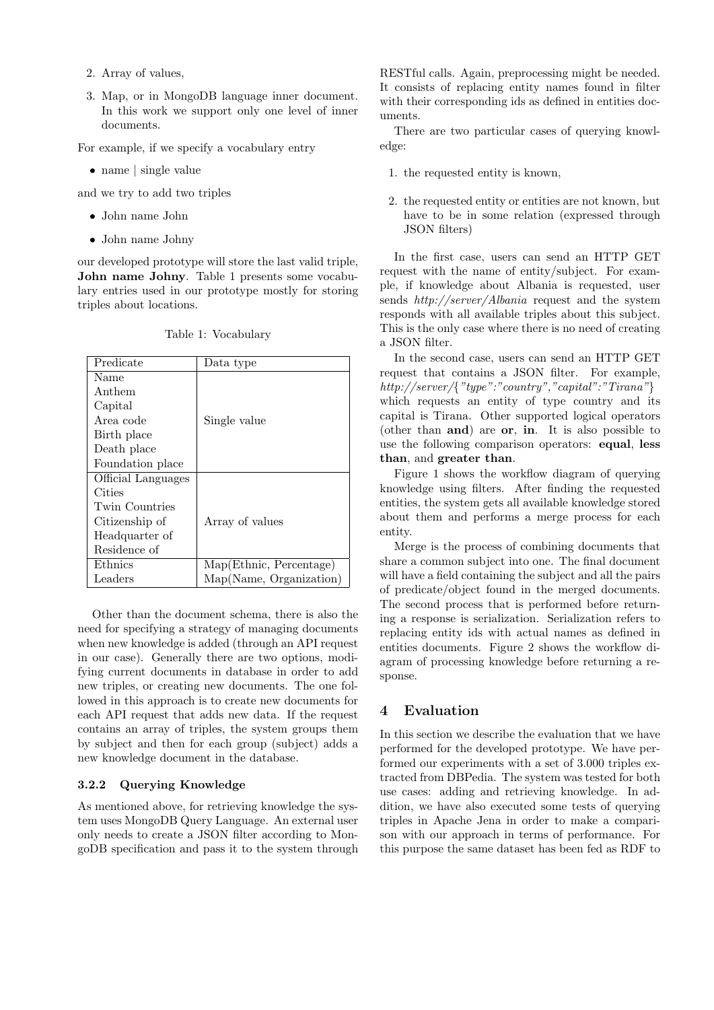- 2. Array of values,
- 3. Map, or in MongoDB language inner document. In this work we support only one level of inner documents.

For example, if we specify a vocabulary entry

• name | single value

and we try to add two triples

- John name John
- John name Johny

our developed prototype will store the last valid triple, John name Johny. Table 1 presents some vocabulary entries used in our prototype mostly for storing triples about locations.

| Predicate          | Data type               |
|--------------------|-------------------------|
| Name               |                         |
| Anthem             |                         |
| Capital            |                         |
| Area code          | Single value            |
| Birth place        |                         |
| Death place        |                         |
| Foundation place   |                         |
| Official Languages |                         |
| Cities             |                         |
| Twin Countries     |                         |
| Citizenship of     | Array of values         |
| Headquarter of     |                         |
| Residence of       |                         |
| Ethnics            | Map(Ethnic, Percentage) |
| Leaders            | Map(Name, Organization) |

Table 1: Vocabulary

Other than the document schema, there is also the need for specifying a strategy of managing documents when new knowledge is added (through an API request in our case). Generally there are two options, modifying current documents in database in order to add new triples, or creating new documents. The one followed in this approach is to create new documents for each API request that adds new data. If the request contains an array of triples, the system groups them by subject and then for each group (subject) adds a new knowledge document in the database.

#### 3.2.2 Querying Knowledge

As mentioned above, for retrieving knowledge the system uses MongoDB Query Language. An external user only needs to create a JSON filter according to MongoDB specification and pass it to the system through

RESTful calls. Again, preprocessing might be needed. It consists of replacing entity names found in filter with their corresponding ids as defined in entities documents.

There are two particular cases of querying knowledge:

- 1. the requested entity is known,
- 2. the requested entity or entities are not known, but have to be in some relation (expressed through JSON filters)

In the first case, users can send an HTTP GET request with the name of entity/subject. For example, if knowledge about Albania is requested, user sends http://server/Albania request and the system responds with all available triples about this subject. This is the only case where there is no need of creating a JSON filter.

In the second case, users can send an HTTP GET request that contains a JSON filter. For example, http://server/{"type":"country","capital":"Tirana"} which requests an entity of type country and its capital is Tirana. Other supported logical operators (other than and) are or, in. It is also possible to use the following comparison operators: equal, less than, and greater than.

Figure 1 shows the workflow diagram of querying knowledge using filters. After finding the requested entities, the system gets all available knowledge stored about them and performs a merge process for each entity.

Merge is the process of combining documents that share a common subject into one. The final document will have a field containing the subject and all the pairs of predicate/object found in the merged documents. The second process that is performed before returning a response is serialization. Serialization refers to replacing entity ids with actual names as defined in entities documents. Figure 2 shows the workflow diagram of processing knowledge before returning a response.

## 4 Evaluation

In this section we describe the evaluation that we have performed for the developed prototype. We have performed our experiments with a set of 3.000 triples extracted from DBPedia. The system was tested for both use cases: adding and retrieving knowledge. In addition, we have also executed some tests of querying triples in Apache Jena in order to make a comparison with our approach in terms of performance. For this purpose the same dataset has been fed as RDF to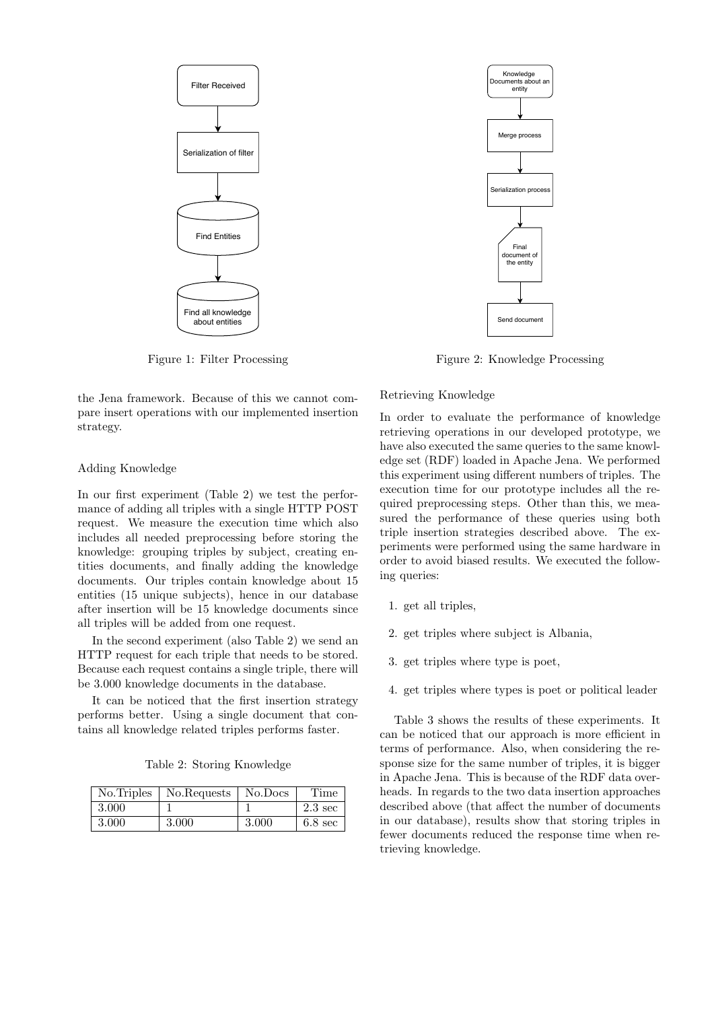

Figure 1: Filter Processing

the Jena framework. Because of this we cannot compare insert operations with our implemented insertion strategy.

#### Adding Knowledge

In our first experiment (Table 2) we test the performance of adding all triples with a single HTTP POST request. We measure the execution time which also includes all needed preprocessing before storing the knowledge: grouping triples by subject, creating entities documents, and finally adding the knowledge documents. Our triples contain knowledge about 15 entities (15 unique subjects), hence in our database after insertion will be 15 knowledge documents since all triples will be added from one request.

In the second experiment (also Table 2) we send an HTTP request for each triple that needs to be stored. Because each request contains a single triple, there will be 3.000 knowledge documents in the database.

It can be noticed that the first insertion strategy performs better. Using a single document that contains all knowledge related triples performs faster.

Table 2: Storing Knowledge

| No. Triples | No.Requests | No.Docs | Time              |
|-------------|-------------|---------|-------------------|
| 3.000       |             |         | $2.3 \text{ sec}$ |
| 3.000       | 3.000       | 3.000   | $6.8 \text{ sec}$ |



Figure 2: Knowledge Processing

#### Retrieving Knowledge

In order to evaluate the performance of knowledge retrieving operations in our developed prototype, we have also executed the same queries to the same knowledge set (RDF) loaded in Apache Jena. We performed this experiment using different numbers of triples. The execution time for our prototype includes all the required preprocessing steps. Other than this, we measured the performance of these queries using both triple insertion strategies described above. The experiments were performed using the same hardware in order to avoid biased results. We executed the following queries:

- 1. get all triples,
- 2. get triples where subject is Albania,
- 3. get triples where type is poet,
- 4. get triples where types is poet or political leader

Table 3 shows the results of these experiments. It can be noticed that our approach is more efficient in terms of performance. Also, when considering the response size for the same number of triples, it is bigger in Apache Jena. This is because of the RDF data overheads. In regards to the two data insertion approaches described above (that affect the number of documents in our database), results show that storing triples in fewer documents reduced the response time when retrieving knowledge.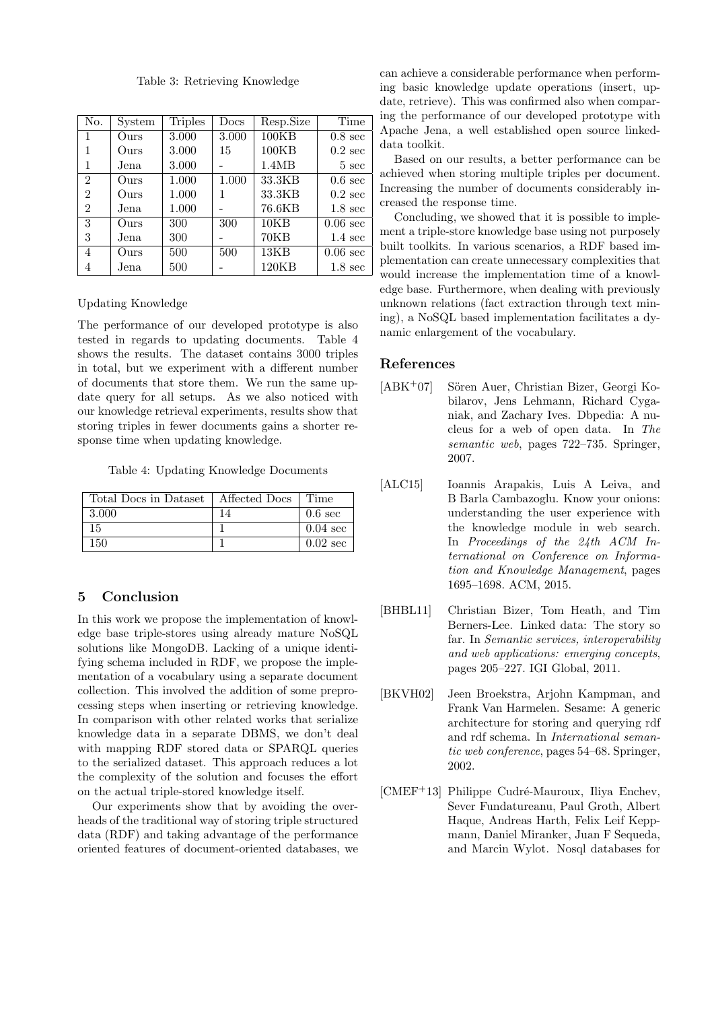Table 3: Retrieving Knowledge

| No.            | System | <b>Triples</b> | $_{\rm Does}$ | Resp.Size | Time               |
|----------------|--------|----------------|---------------|-----------|--------------------|
| 1              | Ours   | 3.000          | 3.000         | 100KB     | $0.8 \text{ sec}$  |
|                | Ours   | 3.000          | 15            | 100KB     | $0.2 \text{ sec}$  |
| 1              | Jena   | 3.000          |               | 1.4MB     | $5 \text{ sec}$    |
| $\overline{2}$ | Ours   | 1.000          | 1.000         | 33.3KB    | $0.6 \text{ sec}$  |
| 2              | Ours   | 1.000          |               | 33.3KB    | $0.2 \text{ sec}$  |
| 2              | Jena   | 1.000          |               | 76.6KB    | $1.8 \text{ sec}$  |
| 3              | Ours   | 300            | 300           | 10KB      | $0.06 \text{ sec}$ |
| 3              | Jena   | 300            |               | 70KB      | $1.4 \text{ sec}$  |
| 4              | Ours   | 500            | 500           | 13KB      | $0.06 \text{ sec}$ |
|                | Jena   | 500            |               | 120KB     | $1.8 \text{ sec}$  |

Updating Knowledge

The performance of our developed prototype is also tested in regards to updating documents. Table 4 shows the results. The dataset contains 3000 triples in total, but we experiment with a different number of documents that store them. We run the same update query for all setups. As we also noticed with our knowledge retrieval experiments, results show that storing triples in fewer documents gains a shorter response time when updating knowledge.

Table 4: Updating Knowledge Documents

| Total Docs in Dataset | Affected Docs | Time               |
|-----------------------|---------------|--------------------|
| 3.000                 |               | $0.6 \text{ sec}$  |
| 15                    |               | $0.04 \text{ sec}$ |
| 150                   |               | $0.02 \text{ sec}$ |

# 5 Conclusion

In this work we propose the implementation of knowledge base triple-stores using already mature NoSQL solutions like MongoDB. Lacking of a unique identifying schema included in RDF, we propose the implementation of a vocabulary using a separate document collection. This involved the addition of some preprocessing steps when inserting or retrieving knowledge. In comparison with other related works that serialize knowledge data in a separate DBMS, we don't deal with mapping RDF stored data or SPARQL queries to the serialized dataset. This approach reduces a lot the complexity of the solution and focuses the effort on the actual triple-stored knowledge itself.

Our experiments show that by avoiding the overheads of the traditional way of storing triple structured data (RDF) and taking advantage of the performance oriented features of document-oriented databases, we

can achieve a considerable performance when performing basic knowledge update operations (insert, update, retrieve). This was confirmed also when comparing the performance of our developed prototype with Apache Jena, a well established open source linkeddata toolkit.

Based on our results, a better performance can be achieved when storing multiple triples per document. Increasing the number of documents considerably increased the response time.

Concluding, we showed that it is possible to implement a triple-store knowledge base using not purposely built toolkits. In various scenarios, a RDF based implementation can create unnecessary complexities that would increase the implementation time of a knowledge base. Furthermore, when dealing with previously unknown relations (fact extraction through text mining), a NoSQL based implementation facilitates a dynamic enlargement of the vocabulary.

#### References

- [ABK<sup>+</sup>07] Sören Auer, Christian Bizer, Georgi Kobilarov, Jens Lehmann, Richard Cyganiak, and Zachary Ives. Dbpedia: A nucleus for a web of open data. In The semantic web, pages 722–735. Springer, 2007.
- [ALC15] Ioannis Arapakis, Luis A Leiva, and B Barla Cambazoglu. Know your onions: understanding the user experience with the knowledge module in web search. In Proceedings of the 24th ACM International on Conference on Information and Knowledge Management, pages 1695–1698. ACM, 2015.
- [BHBL11] Christian Bizer, Tom Heath, and Tim Berners-Lee. Linked data: The story so far. In Semantic services, interoperability and web applications: emerging concepts, pages 205–227. IGI Global, 2011.
- [BKVH02] Jeen Broekstra, Arjohn Kampman, and Frank Van Harmelen. Sesame: A generic architecture for storing and querying rdf and rdf schema. In International semantic web conference, pages 54–68. Springer, 2002.
- [CMEF<sup>+</sup>13] Philippe Cudré-Mauroux, Iliya Enchev, Sever Fundatureanu, Paul Groth, Albert Haque, Andreas Harth, Felix Leif Keppmann, Daniel Miranker, Juan F Sequeda, and Marcin Wylot. Nosql databases for